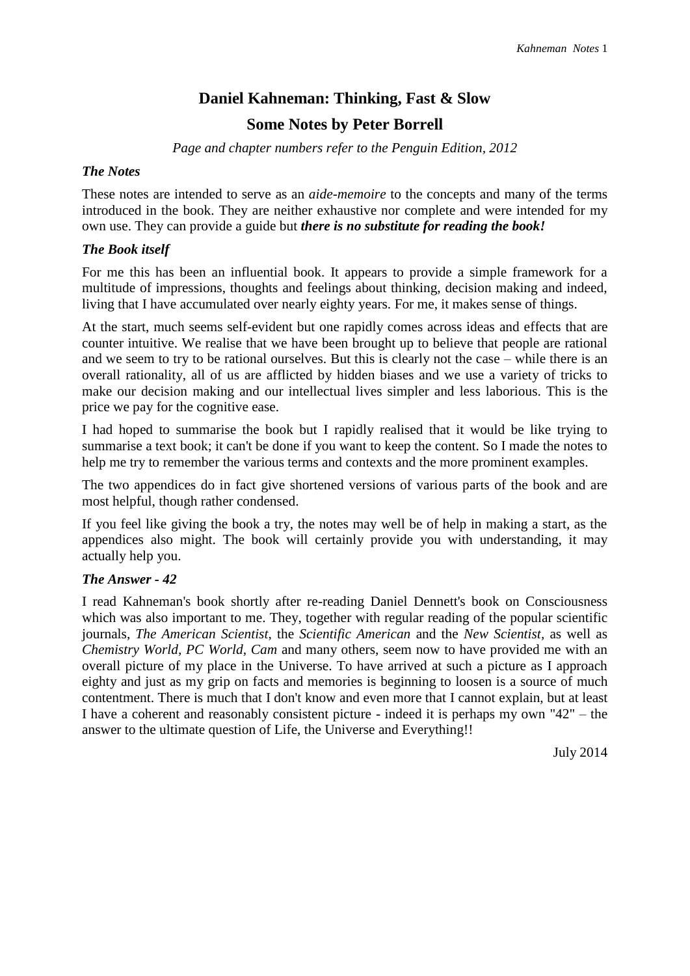# **Daniel Kahneman: Thinking, Fast & Slow Some Notes by Peter Borrell**

*Page and chapter numbers refer to the Penguin Edition, 2012*

## *The Notes*

These notes are intended to serve as an *aide-memoire* to the concepts and many of the terms introduced in the book. They are neither exhaustive nor complete and were intended for my own use. They can provide a guide but *there is no substitute for reading the book!*

## *The Book itself*

For me this has been an influential book. It appears to provide a simple framework for a multitude of impressions, thoughts and feelings about thinking, decision making and indeed, living that I have accumulated over nearly eighty years. For me, it makes sense of things.

At the start, much seems self-evident but one rapidly comes across ideas and effects that are counter intuitive. We realise that we have been brought up to believe that people are rational and we seem to try to be rational ourselves. But this is clearly not the case – while there is an overall rationality, all of us are afflicted by hidden biases and we use a variety of tricks to make our decision making and our intellectual lives simpler and less laborious. This is the price we pay for the cognitive ease.

I had hoped to summarise the book but I rapidly realised that it would be like trying to summarise a text book; it can't be done if you want to keep the content. So I made the notes to help me try to remember the various terms and contexts and the more prominent examples.

The two appendices do in fact give shortened versions of various parts of the book and are most helpful, though rather condensed.

If you feel like giving the book a try, the notes may well be of help in making a start, as the appendices also might. The book will certainly provide you with understanding, it may actually help you.

## *The Answer - 42*

I read Kahneman's book shortly after re-reading Daniel Dennett's book on Consciousness which was also important to me. They, together with regular reading of the popular scientific journals, *The American Scientist*, the *Scientific American* and the *New Scientist,* as well as *Chemistry World, PC World, Cam* and many others, seem now to have provided me with an overall picture of my place in the Universe. To have arrived at such a picture as I approach eighty and just as my grip on facts and memories is beginning to loosen is a source of much contentment. There is much that I don't know and even more that I cannot explain, but at least I have a coherent and reasonably consistent picture - indeed it is perhaps my own "42" – the answer to the ultimate question of Life, the Universe and Everything!!

July 2014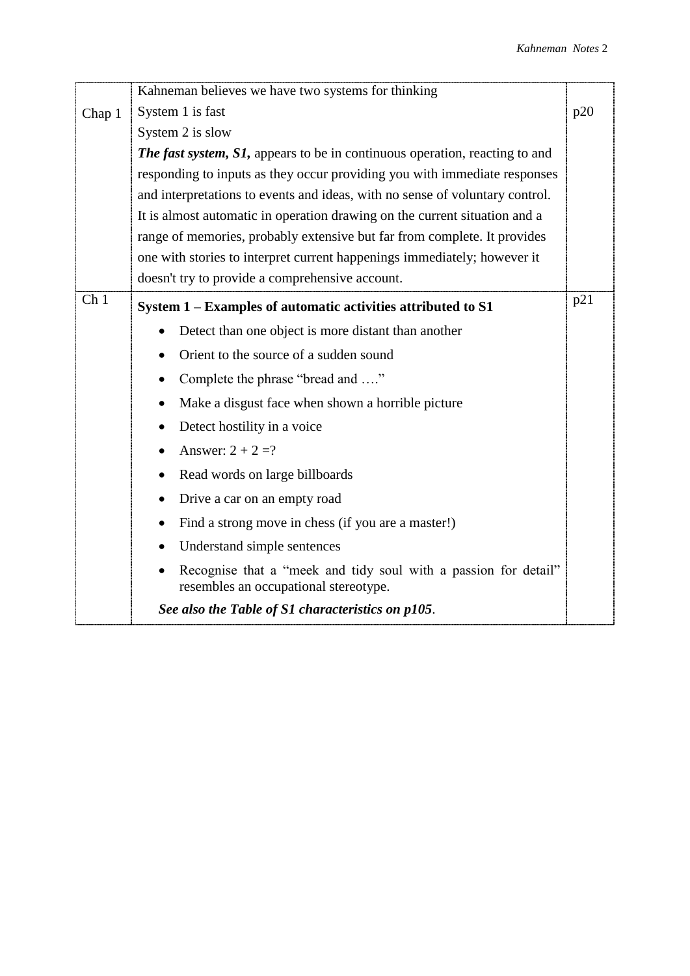|                 | Kahneman believes we have two systems for thinking                                                                    |     |  |  |  |  |
|-----------------|-----------------------------------------------------------------------------------------------------------------------|-----|--|--|--|--|
| Chap 1          | System 1 is fast<br>p20                                                                                               |     |  |  |  |  |
|                 | System 2 is slow                                                                                                      |     |  |  |  |  |
|                 | <b>The fast system, S1, appears to be in continuous operation, reacting to and</b>                                    |     |  |  |  |  |
|                 | responding to inputs as they occur providing you with immediate responses                                             |     |  |  |  |  |
|                 | and interpretations to events and ideas, with no sense of voluntary control.                                          |     |  |  |  |  |
|                 | It is almost automatic in operation drawing on the current situation and a                                            |     |  |  |  |  |
|                 | range of memories, probably extensive but far from complete. It provides                                              |     |  |  |  |  |
|                 | one with stories to interpret current happenings immediately; however it                                              |     |  |  |  |  |
|                 | doesn't try to provide a comprehensive account.                                                                       |     |  |  |  |  |
| Ch <sub>1</sub> | System 1 – Examples of automatic activities attributed to S1                                                          | p21 |  |  |  |  |
|                 | Detect than one object is more distant than another<br>$\bullet$                                                      |     |  |  |  |  |
|                 | Orient to the source of a sudden sound                                                                                |     |  |  |  |  |
|                 | Complete the phrase "bread and "<br>$\bullet$                                                                         |     |  |  |  |  |
|                 | Make a disgust face when shown a horrible picture<br>$\bullet$                                                        |     |  |  |  |  |
|                 | Detect hostility in a voice                                                                                           |     |  |  |  |  |
|                 | Answer: $2 + 2 = ?$                                                                                                   |     |  |  |  |  |
|                 | Read words on large billboards<br>$\bullet$                                                                           |     |  |  |  |  |
|                 | Drive a car on an empty road                                                                                          |     |  |  |  |  |
|                 | Find a strong move in chess (if you are a master!)                                                                    |     |  |  |  |  |
|                 | Understand simple sentences<br>$\bullet$                                                                              |     |  |  |  |  |
|                 | Recognise that a "meek and tidy soul with a passion for detail"<br>$\bullet$<br>resembles an occupational stereotype. |     |  |  |  |  |
|                 | See also the Table of S1 characteristics on p105.                                                                     |     |  |  |  |  |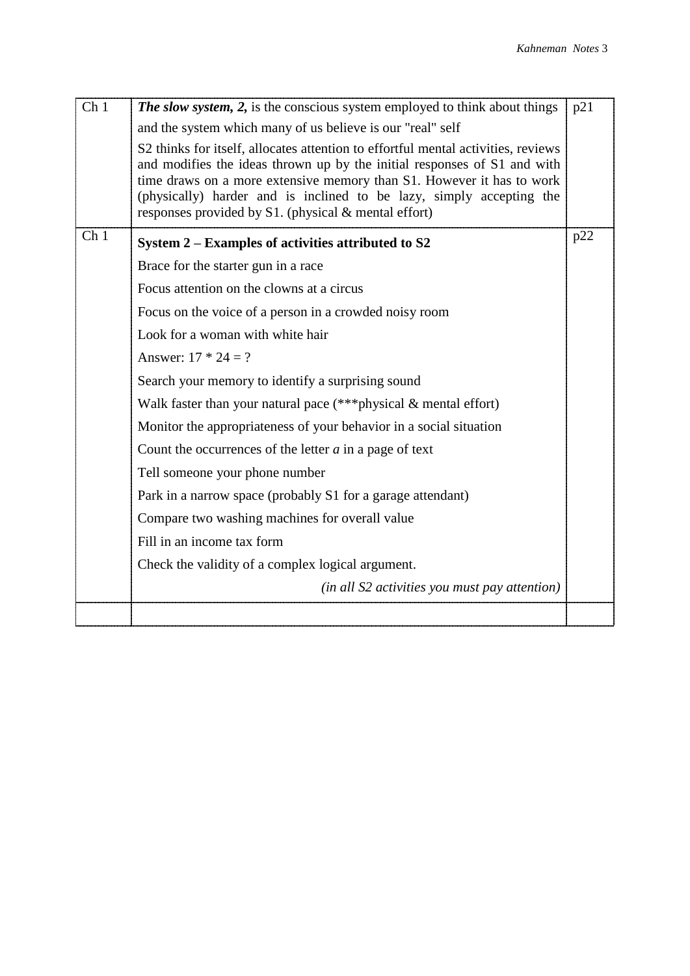| Ch <sub>1</sub> | <b>The slow system, 2,</b> is the conscious system employed to think about things                                                                                                                                                                                                                                                                                           | p21 |
|-----------------|-----------------------------------------------------------------------------------------------------------------------------------------------------------------------------------------------------------------------------------------------------------------------------------------------------------------------------------------------------------------------------|-----|
|                 | and the system which many of us believe is our "real" self                                                                                                                                                                                                                                                                                                                  |     |
|                 | S2 thinks for itself, allocates attention to effortful mental activities, reviews<br>and modifies the ideas thrown up by the initial responses of S1 and with<br>time draws on a more extensive memory than S1. However it has to work<br>(physically) harder and is inclined to be lazy, simply accepting the<br>responses provided by $S1$ . (physical $&$ mental effort) |     |
| Ch <sub>1</sub> | System 2 – Examples of activities attributed to S2                                                                                                                                                                                                                                                                                                                          | p22 |
|                 | Brace for the starter gun in a race                                                                                                                                                                                                                                                                                                                                         |     |
|                 | Focus attention on the clowns at a circus                                                                                                                                                                                                                                                                                                                                   |     |
|                 | Focus on the voice of a person in a crowded noisy room                                                                                                                                                                                                                                                                                                                      |     |
|                 | Look for a woman with white hair                                                                                                                                                                                                                                                                                                                                            |     |
|                 | Answer: $17 * 24 = ?$                                                                                                                                                                                                                                                                                                                                                       |     |
|                 | Search your memory to identify a surprising sound                                                                                                                                                                                                                                                                                                                           |     |
|                 | Walk faster than your natural pace (***physical & mental effort)                                                                                                                                                                                                                                                                                                            |     |
|                 | Monitor the appropriateness of your behavior in a social situation                                                                                                                                                                                                                                                                                                          |     |
|                 | Count the occurrences of the letter $a$ in a page of text                                                                                                                                                                                                                                                                                                                   |     |
|                 | Tell someone your phone number                                                                                                                                                                                                                                                                                                                                              |     |
|                 | Park in a narrow space (probably S1 for a garage attendant)                                                                                                                                                                                                                                                                                                                 |     |
|                 | Compare two washing machines for overall value                                                                                                                                                                                                                                                                                                                              |     |
|                 | Fill in an income tax form                                                                                                                                                                                                                                                                                                                                                  |     |
|                 | Check the validity of a complex logical argument.                                                                                                                                                                                                                                                                                                                           |     |
|                 | (in all S2 activities you must pay attention)                                                                                                                                                                                                                                                                                                                               |     |
|                 |                                                                                                                                                                                                                                                                                                                                                                             |     |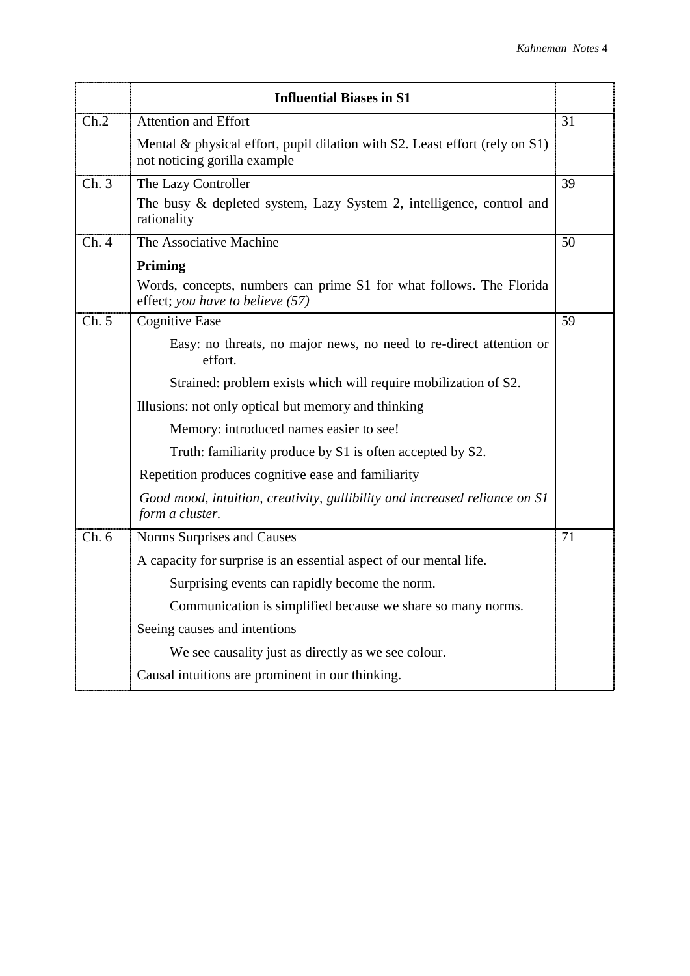|       | <b>Influential Biases in S1</b>                                                                             |    |
|-------|-------------------------------------------------------------------------------------------------------------|----|
| Ch.2  | Attention and Effort                                                                                        | 31 |
|       | Mental & physical effort, pupil dilation with S2. Least effort (rely on S1)<br>not noticing gorilla example |    |
| Ch.3  | The Lazy Controller                                                                                         | 39 |
|       | The busy & depleted system, Lazy System 2, intelligence, control and<br>rationality                         |    |
| Ch.4  | The Associative Machine                                                                                     | 50 |
|       | Priming                                                                                                     |    |
|       | Words, concepts, numbers can prime S1 for what follows. The Florida<br>effect; you have to believe (57)     |    |
| Ch. 5 | <b>Cognitive Ease</b>                                                                                       | 59 |
|       | Easy: no threats, no major news, no need to re-direct attention or<br>effort.                               |    |
|       | Strained: problem exists which will require mobilization of S2.                                             |    |
|       | Illusions: not only optical but memory and thinking                                                         |    |
|       | Memory: introduced names easier to see!                                                                     |    |
|       | Truth: familiarity produce by S1 is often accepted by S2.                                                   |    |
|       | Repetition produces cognitive ease and familiarity                                                          |    |
|       | Good mood, intuition, creativity, gullibility and increased reliance on S1<br>form a cluster.               |    |
| Ch.6  | Norms Surprises and Causes                                                                                  | 71 |
|       | A capacity for surprise is an essential aspect of our mental life.                                          |    |
|       | Surprising events can rapidly become the norm.                                                              |    |
|       | Communication is simplified because we share so many norms.                                                 |    |
|       | Seeing causes and intentions                                                                                |    |
|       | We see causality just as directly as we see colour.                                                         |    |
|       | Causal intuitions are prominent in our thinking.                                                            |    |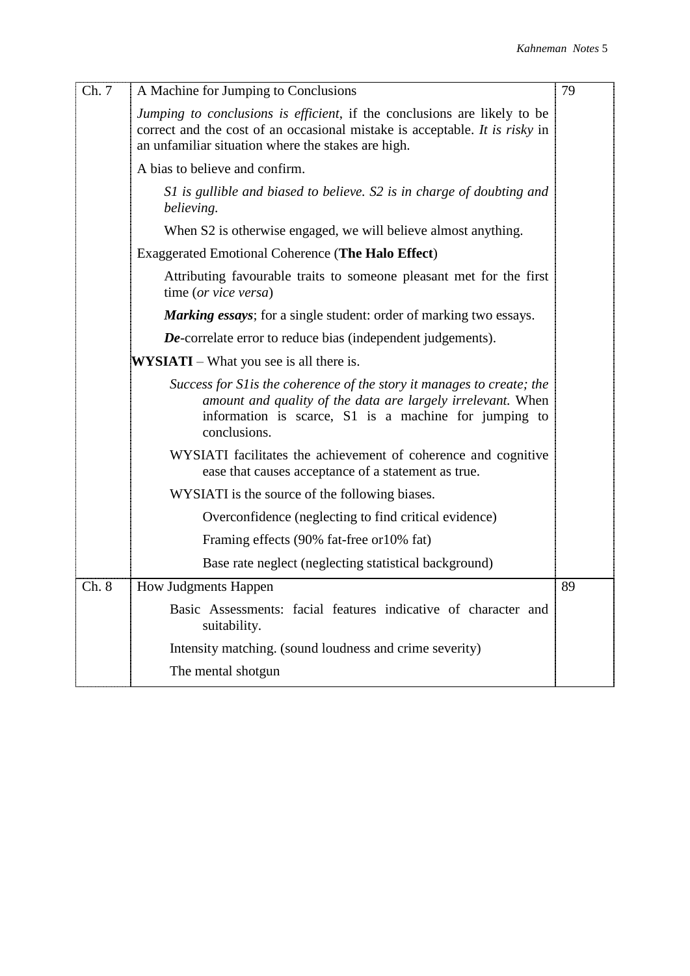| Ch.7  | A Machine for Jumping to Conclusions                                                                                                                                                                                  | 79 |
|-------|-----------------------------------------------------------------------------------------------------------------------------------------------------------------------------------------------------------------------|----|
|       | <i>Jumping to conclusions is efficient</i> , if the conclusions are likely to be<br>correct and the cost of an occasional mistake is acceptable. It is risky in<br>an unfamiliar situation where the stakes are high. |    |
|       | A bias to believe and confirm.                                                                                                                                                                                        |    |
|       | S1 is gullible and biased to believe. S2 is in charge of doubting and<br>believing.                                                                                                                                   |    |
|       | When S2 is otherwise engaged, we will believe almost anything.                                                                                                                                                        |    |
|       | <b>Exaggerated Emotional Coherence (The Halo Effect)</b>                                                                                                                                                              |    |
|       | Attributing favourable traits to some one pleasant met for the first<br>time (or vice versa)                                                                                                                          |    |
|       | <b>Marking essays</b> ; for a single student: order of marking two essays.                                                                                                                                            |    |
|       | <b>De-correlate error to reduce bias (independent judgements).</b>                                                                                                                                                    |    |
|       | <b>WYSIATI</b> – What you see is all there is.                                                                                                                                                                        |    |
|       | Success for S1 is the coherence of the story it manages to create; the<br>amount and quality of the data are largely irrelevant. When<br>information is scarce, S1 is a machine for jumping to<br>conclusions.        |    |
|       | WYSIATI facilitates the achievement of coherence and cognitive<br>ease that causes acceptance of a statement as true.                                                                                                 |    |
|       | WYSIATI is the source of the following biases.                                                                                                                                                                        |    |
|       | Overconfidence (neglecting to find critical evidence)                                                                                                                                                                 |    |
|       | Framing effects (90% fat-free or 10% fat)                                                                                                                                                                             |    |
|       | Base rate neglect (neglecting statistical background)                                                                                                                                                                 |    |
| Ch. 8 | <b>How Judgments Happen</b>                                                                                                                                                                                           | 89 |
|       | Basic Assessments: facial features indicative of character and<br>suitability.                                                                                                                                        |    |
|       | Intensity matching. (sound loudness and crime severity)                                                                                                                                                               |    |
|       | The mental shotgun                                                                                                                                                                                                    |    |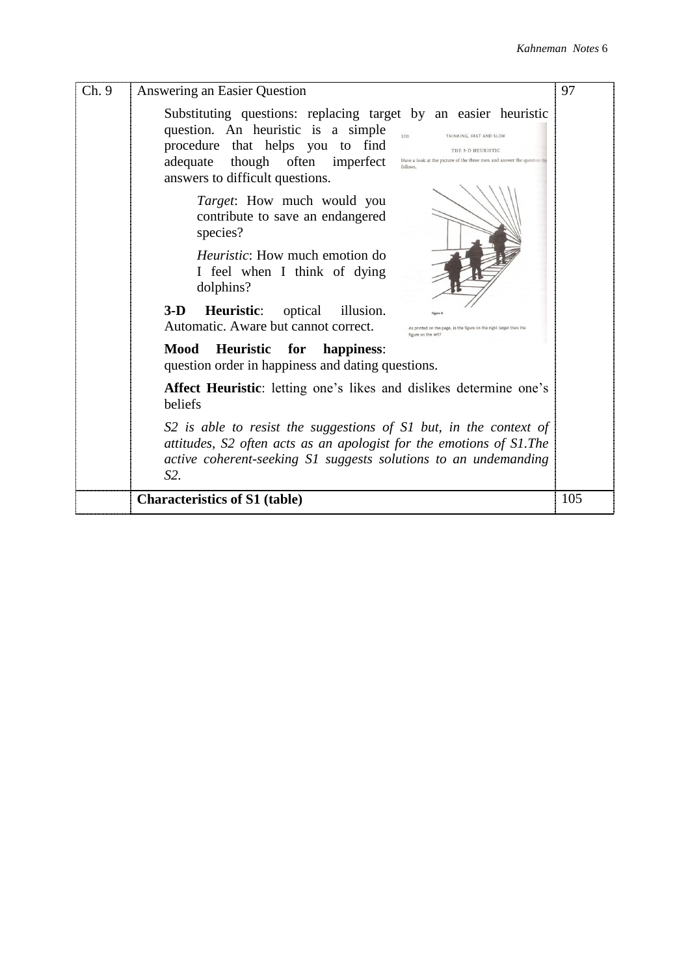| Ch.9 | Answering an Easier Question                                                                                                                                                                                                                                                                                                                                                               | 97  |
|------|--------------------------------------------------------------------------------------------------------------------------------------------------------------------------------------------------------------------------------------------------------------------------------------------------------------------------------------------------------------------------------------------|-----|
|      | Substituting questions: replacing target by an easier heuristic<br>question. An heuristic is a simple<br>$100 -$<br>THINKING, FAST AND SLOW<br>procedure that helps you to find<br>THE 3-D HEURISTIC<br>adequate though often imperfect<br>Have a look at the picture of the three men and answer the question<br>follows<br>answers to difficult questions.<br>Target: How much would you |     |
|      | contribute to save an endangered<br>species?<br><i>Heuristic</i> : How much emotion do<br>I feel when I think of dying<br>dolphins?                                                                                                                                                                                                                                                        |     |
|      | $3-D$<br><b>Heuristic:</b> optical<br>illusion.<br>Figure<br>Automatic. Aware but cannot correct.<br>ited on the page, is the figure on the right larger than the                                                                                                                                                                                                                          |     |
|      | Heuristic<br>for<br>Mood<br>happiness:<br>question order in happiness and dating questions.                                                                                                                                                                                                                                                                                                |     |
|      | Affect Heuristic: letting one's likes and dislikes determine one's<br>beliefs                                                                                                                                                                                                                                                                                                              |     |
|      | S2 is able to resist the suggestions of S1 but, in the context of<br>attitudes, S2 often acts as an apologist for the emotions of S1. The<br>active coherent-seeking S1 suggests solutions to an undemanding<br>$S2$ .                                                                                                                                                                     |     |
|      | <b>Characteristics of S1 (table)</b>                                                                                                                                                                                                                                                                                                                                                       | 105 |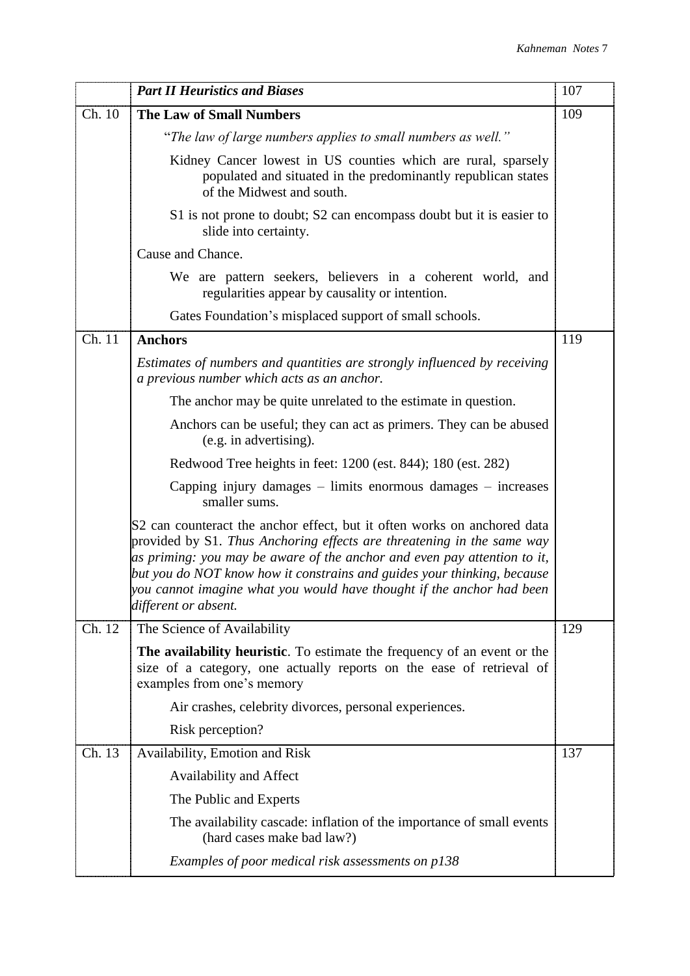|        | <b>Part II Heuristics and Biases</b>                                                                                                                                                                                                                                                                                                                                                                       | 107 |
|--------|------------------------------------------------------------------------------------------------------------------------------------------------------------------------------------------------------------------------------------------------------------------------------------------------------------------------------------------------------------------------------------------------------------|-----|
| Ch. 10 | <b>The Law of Small Numbers</b>                                                                                                                                                                                                                                                                                                                                                                            | 109 |
|        | "The law of large numbers applies to small numbers as well."                                                                                                                                                                                                                                                                                                                                               |     |
|        | Kidney Cancer lowest in US counties which are rural, sparsely<br>populated and situated in the predominantly republican states<br>of the Midwest and south.                                                                                                                                                                                                                                                |     |
|        | S1 is not prone to doubt; S2 can encompass doubt but it is easier to<br>slide into certainty.                                                                                                                                                                                                                                                                                                              |     |
|        | Cause and Chance.                                                                                                                                                                                                                                                                                                                                                                                          |     |
|        | We are pattern seekers, believers in a coherent world, and<br>regularities appear by causality or intention.                                                                                                                                                                                                                                                                                               |     |
|        | Gates Foundation's misplaced support of small schools.                                                                                                                                                                                                                                                                                                                                                     |     |
| Ch. 11 | <b>Anchors</b>                                                                                                                                                                                                                                                                                                                                                                                             | 119 |
|        | Estimates of numbers and quantities are strongly influenced by receiving<br>a previous number which acts as an anchor.                                                                                                                                                                                                                                                                                     |     |
|        | The anchor may be quite unrelated to the estimate in question.                                                                                                                                                                                                                                                                                                                                             |     |
|        | Anchors can be useful; they can act as primers. They can be abused<br>(e.g. in advertising).                                                                                                                                                                                                                                                                                                               |     |
|        | Redwood Tree heights in feet: 1200 (est. 844); 180 (est. 282)                                                                                                                                                                                                                                                                                                                                              |     |
|        | Capping injury damages – limits enormous damages – increases<br>smaller sums.                                                                                                                                                                                                                                                                                                                              |     |
|        | S2 can counteract the anchor effect, but it often works on anchored data<br>provided by S1. Thus Anchoring effects are threatening in the same way<br>as priming: you may be aware of the anchor and even pay attention to it,<br>but you do NOT know how it constrains and guides your thinking, because<br>you cannot imagine what you would have thought if the anchor had been<br>different or absent. |     |
| Ch. 12 | The Science of Availability                                                                                                                                                                                                                                                                                                                                                                                | 129 |
|        | The availability heuristic. To estimate the frequency of an event or the<br>size of a category, one actually reports on the ease of retrieval of<br>examples from one's memory                                                                                                                                                                                                                             |     |
|        | Air crashes, celebrity divorces, personal experiences.                                                                                                                                                                                                                                                                                                                                                     |     |
|        | Risk perception?                                                                                                                                                                                                                                                                                                                                                                                           |     |
| Ch. 13 | Availability, Emotion and Risk                                                                                                                                                                                                                                                                                                                                                                             | 137 |
|        | Availability and Affect                                                                                                                                                                                                                                                                                                                                                                                    |     |
|        | The Public and Experts                                                                                                                                                                                                                                                                                                                                                                                     |     |
|        | The availability cascade: inflation of the importance of small events<br>(hard cases make bad law?)                                                                                                                                                                                                                                                                                                        |     |
|        | Examples of poor medical risk assessments on p138                                                                                                                                                                                                                                                                                                                                                          |     |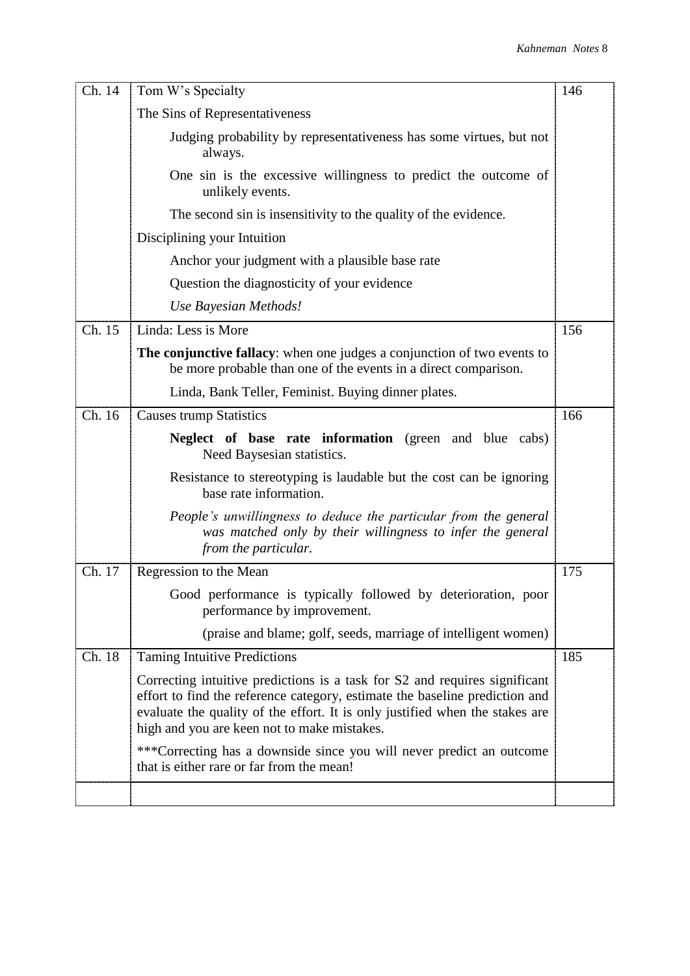| Ch. 14 | Tom W's Specialty                                                                                                                                                                                                                                                                        | 146 |
|--------|------------------------------------------------------------------------------------------------------------------------------------------------------------------------------------------------------------------------------------------------------------------------------------------|-----|
|        | The Sins of Representativeness                                                                                                                                                                                                                                                           |     |
|        | Judging probability by representativeness has some virtues, but not<br>always.                                                                                                                                                                                                           |     |
|        | One sin is the excessive willingness to predict the outcome of<br>unlikely events.                                                                                                                                                                                                       |     |
|        | The second sin is insensitivity to the quality of the evidence.                                                                                                                                                                                                                          |     |
|        | Disciplining your Intuition                                                                                                                                                                                                                                                              |     |
|        | Anchor your judgment with a plausible base rate                                                                                                                                                                                                                                          |     |
|        | Question the diagnosticity of your evidence                                                                                                                                                                                                                                              |     |
|        | Use Bayesian Methods!                                                                                                                                                                                                                                                                    |     |
| Ch. 15 | Linda: Less is More                                                                                                                                                                                                                                                                      | 156 |
|        | The conjunctive fallacy: when one judges a conjunction of two events to<br>be more probable than one of the events in a direct comparison.                                                                                                                                               |     |
|        | Linda, Bank Teller, Feminist. Buying dinner plates.                                                                                                                                                                                                                                      |     |
| Ch. 16 | <b>Causes trump Statistics</b>                                                                                                                                                                                                                                                           | 166 |
|        | <b>Neglect of base rate information</b> (green and blue cabs)<br>Need Baysesian statistics.                                                                                                                                                                                              |     |
|        | Resistance to stereotyping is laudable but the cost can be ignoring<br>base rate information.                                                                                                                                                                                            |     |
|        | People's unwillingness to deduce the particular from the general<br>was matched only by their willingness to infer the general<br>from the particular.                                                                                                                                   |     |
| Ch. 17 | Regression to the Mean                                                                                                                                                                                                                                                                   | 175 |
|        | Good performance is typically followed by deterioration, poor<br>performance by improvement.                                                                                                                                                                                             |     |
|        | (praise and blame; golf, seeds, marriage of intelligent women)                                                                                                                                                                                                                           |     |
| Ch. 18 | <b>Taming Intuitive Predictions</b>                                                                                                                                                                                                                                                      | 185 |
|        | Correcting intuitive predictions is a task for S2 and requires significant<br>effort to find the reference category, estimate the baseline prediction and<br>evaluate the quality of the effort. It is only justified when the stakes are<br>high and you are keen not to make mistakes. |     |
|        | ***Correcting has a downside since you will never predict an outcome<br>that is either rare or far from the mean!                                                                                                                                                                        |     |
|        |                                                                                                                                                                                                                                                                                          |     |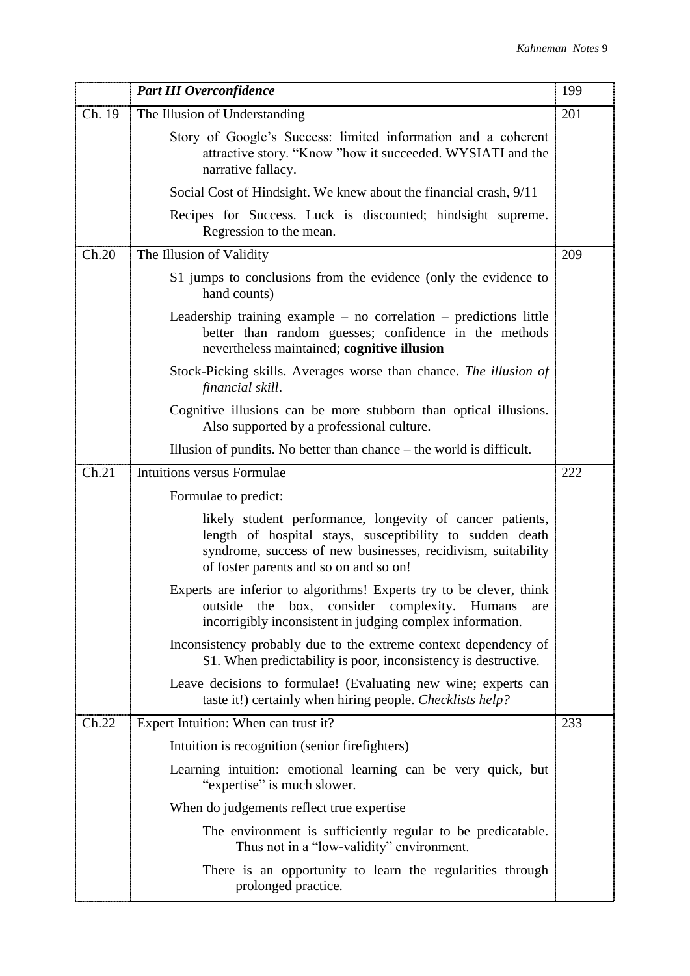|        | <b>Part III Overconfidence</b>                                                                                                                                                                                                  | 199 |
|--------|---------------------------------------------------------------------------------------------------------------------------------------------------------------------------------------------------------------------------------|-----|
| Ch. 19 | The Illusion of Understanding                                                                                                                                                                                                   | 201 |
|        | Story of Google's Success: limited information and a coherent<br>attractive story. "Know "how it succeeded. WYSIATI and the<br>narrative fallacy.                                                                               |     |
|        | Social Cost of Hindsight. We knew about the financial crash, 9/11                                                                                                                                                               |     |
|        | Recipes for Success. Luck is discounted; hindsight supreme.<br>Regression to the mean.                                                                                                                                          |     |
| Ch.20  | The Illusion of Validity                                                                                                                                                                                                        | 209 |
|        | S1 jumps to conclusions from the evidence (only the evidence to<br>hand counts)                                                                                                                                                 |     |
|        | Leadership training example $-$ no correlation $-$ predictions little<br>better than random guesses; confidence in the methods<br>nevertheless maintained; cognitive illusion                                                   |     |
|        | Stock-Picking skills. Averages worse than chance. The illusion of<br>financial skill.                                                                                                                                           |     |
|        | Cognitive illusions can be more stubborn than optical illusions.<br>Also supported by a professional culture.                                                                                                                   |     |
|        | Illusion of pundits. No better than chance $-$ the world is difficult.                                                                                                                                                          |     |
| Ch.21  | Intuitions versus Formulae                                                                                                                                                                                                      | 222 |
|        | Formulae to predict:                                                                                                                                                                                                            |     |
|        | likely student performance, longevity of cancer patients,<br>length of hospital stays, susceptibility to sudden death<br>syndrome, success of new businesses, recidivism, suitability<br>of foster parents and so on and so on! |     |
|        | Experts are inferior to algorithms! Experts try to be clever, think<br>outside<br>the<br>box,<br>consider complexity.<br><b>Humans</b><br>are<br>incorrigibly inconsistent in judging complex information.                      |     |
|        | Inconsistency probably due to the extreme context dependency of<br>S1. When predictability is poor, inconsistency is destructive.                                                                                               |     |
|        | Leave decisions to formulae! (Evaluating new wine; experts can<br>taste it!) certainly when hiring people. <i>Checklists help?</i>                                                                                              |     |
| Ch.22  | Expert Intuition: When can trust it?                                                                                                                                                                                            | 233 |
|        | Intuition is recognition (senior firefighters)                                                                                                                                                                                  |     |
|        | Learning intuition: emotional learning can be very quick, but<br>"expertise" is much slower.                                                                                                                                    |     |
|        | When do judgements reflect true expertise                                                                                                                                                                                       |     |
|        | The environment is sufficiently regular to be predicatable.<br>Thus not in a "low-validity" environment.                                                                                                                        |     |
|        | There is an opportunity to learn the regularities through<br>prolonged practice.                                                                                                                                                |     |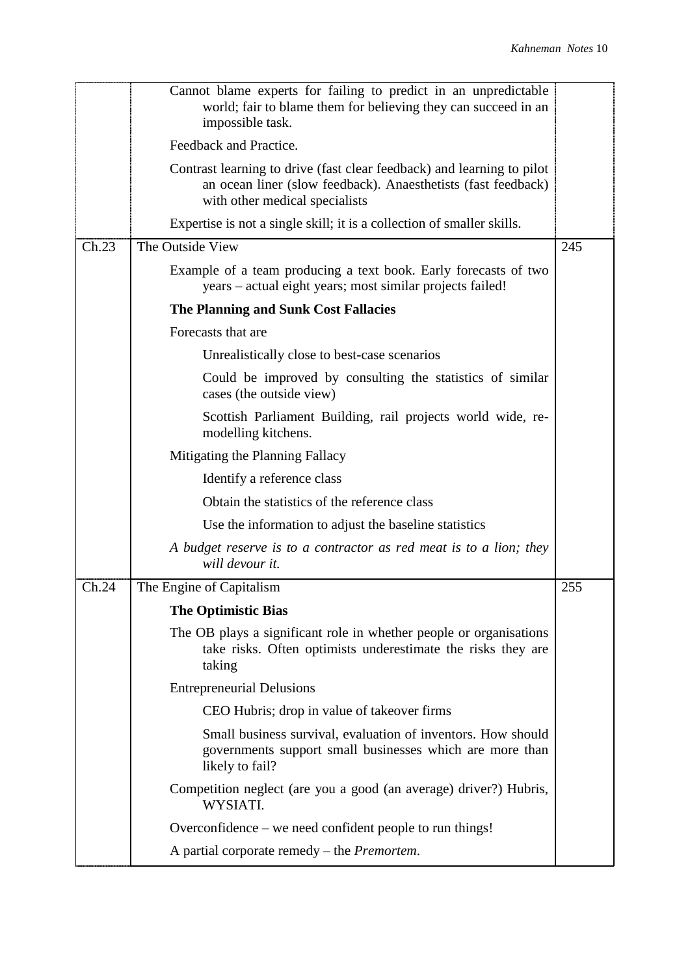| Feedback and Practice.<br>Contrast learning to drive (fast clear feedback) and learning to pilot<br>an ocean liner (slow feedback). Anaesthetists (fast feedback)<br>with other medical specialists<br>Expertise is not a single skill; it is a collection of smaller skills.<br>The Outside View<br>Ch.23<br>245<br>Example of a team producing a text book. Early forecasts of two<br>years – actual eight years; most similar projects failed!<br>The Planning and Sunk Cost Fallacies<br>Forecasts that are<br>Unrealistically close to best-case scenarios<br>Could be improved by consulting the statistics of similar<br>cases (the outside view)<br>Scottish Parliament Building, rail projects world wide, re-<br>modelling kitchens.<br>Mitigating the Planning Fallacy<br>Identify a reference class<br>Obtain the statistics of the reference class<br>Use the information to adjust the baseline statistics<br>A budget reserve is to a contractor as red meat is to a lion; they<br>will devour it.<br>The Engine of Capitalism<br>Ch.24<br>255<br><b>The Optimistic Bias</b><br>The OB plays a significant role in whether people or organisations<br>take risks. Often optimists underestimate the risks they are<br>taking<br><b>Entrepreneurial Delusions</b><br>CEO Hubris; drop in value of takeover firms<br>Small business survival, evaluation of inventors. How should<br>governments support small businesses which are more than<br>likely to fail?<br>Competition neglect (are you a good (an average) driver?) Hubris,<br>WYSIATI.<br>Overconfidence – we need confident people to run things!<br>A partial corporate remedy $-$ the <i>Premortem</i> . | Cannot blame experts for failing to predict in an unpredictable<br>world; fair to blame them for believing they can succeed in an<br>impossible task. |  |
|-------------------------------------------------------------------------------------------------------------------------------------------------------------------------------------------------------------------------------------------------------------------------------------------------------------------------------------------------------------------------------------------------------------------------------------------------------------------------------------------------------------------------------------------------------------------------------------------------------------------------------------------------------------------------------------------------------------------------------------------------------------------------------------------------------------------------------------------------------------------------------------------------------------------------------------------------------------------------------------------------------------------------------------------------------------------------------------------------------------------------------------------------------------------------------------------------------------------------------------------------------------------------------------------------------------------------------------------------------------------------------------------------------------------------------------------------------------------------------------------------------------------------------------------------------------------------------------------------------------------------------------------------------------------------------------|-------------------------------------------------------------------------------------------------------------------------------------------------------|--|
|                                                                                                                                                                                                                                                                                                                                                                                                                                                                                                                                                                                                                                                                                                                                                                                                                                                                                                                                                                                                                                                                                                                                                                                                                                                                                                                                                                                                                                                                                                                                                                                                                                                                                     |                                                                                                                                                       |  |
|                                                                                                                                                                                                                                                                                                                                                                                                                                                                                                                                                                                                                                                                                                                                                                                                                                                                                                                                                                                                                                                                                                                                                                                                                                                                                                                                                                                                                                                                                                                                                                                                                                                                                     |                                                                                                                                                       |  |
|                                                                                                                                                                                                                                                                                                                                                                                                                                                                                                                                                                                                                                                                                                                                                                                                                                                                                                                                                                                                                                                                                                                                                                                                                                                                                                                                                                                                                                                                                                                                                                                                                                                                                     |                                                                                                                                                       |  |
|                                                                                                                                                                                                                                                                                                                                                                                                                                                                                                                                                                                                                                                                                                                                                                                                                                                                                                                                                                                                                                                                                                                                                                                                                                                                                                                                                                                                                                                                                                                                                                                                                                                                                     |                                                                                                                                                       |  |
|                                                                                                                                                                                                                                                                                                                                                                                                                                                                                                                                                                                                                                                                                                                                                                                                                                                                                                                                                                                                                                                                                                                                                                                                                                                                                                                                                                                                                                                                                                                                                                                                                                                                                     |                                                                                                                                                       |  |
|                                                                                                                                                                                                                                                                                                                                                                                                                                                                                                                                                                                                                                                                                                                                                                                                                                                                                                                                                                                                                                                                                                                                                                                                                                                                                                                                                                                                                                                                                                                                                                                                                                                                                     |                                                                                                                                                       |  |
|                                                                                                                                                                                                                                                                                                                                                                                                                                                                                                                                                                                                                                                                                                                                                                                                                                                                                                                                                                                                                                                                                                                                                                                                                                                                                                                                                                                                                                                                                                                                                                                                                                                                                     |                                                                                                                                                       |  |
|                                                                                                                                                                                                                                                                                                                                                                                                                                                                                                                                                                                                                                                                                                                                                                                                                                                                                                                                                                                                                                                                                                                                                                                                                                                                                                                                                                                                                                                                                                                                                                                                                                                                                     |                                                                                                                                                       |  |
|                                                                                                                                                                                                                                                                                                                                                                                                                                                                                                                                                                                                                                                                                                                                                                                                                                                                                                                                                                                                                                                                                                                                                                                                                                                                                                                                                                                                                                                                                                                                                                                                                                                                                     |                                                                                                                                                       |  |
|                                                                                                                                                                                                                                                                                                                                                                                                                                                                                                                                                                                                                                                                                                                                                                                                                                                                                                                                                                                                                                                                                                                                                                                                                                                                                                                                                                                                                                                                                                                                                                                                                                                                                     |                                                                                                                                                       |  |
|                                                                                                                                                                                                                                                                                                                                                                                                                                                                                                                                                                                                                                                                                                                                                                                                                                                                                                                                                                                                                                                                                                                                                                                                                                                                                                                                                                                                                                                                                                                                                                                                                                                                                     |                                                                                                                                                       |  |
|                                                                                                                                                                                                                                                                                                                                                                                                                                                                                                                                                                                                                                                                                                                                                                                                                                                                                                                                                                                                                                                                                                                                                                                                                                                                                                                                                                                                                                                                                                                                                                                                                                                                                     |                                                                                                                                                       |  |
|                                                                                                                                                                                                                                                                                                                                                                                                                                                                                                                                                                                                                                                                                                                                                                                                                                                                                                                                                                                                                                                                                                                                                                                                                                                                                                                                                                                                                                                                                                                                                                                                                                                                                     |                                                                                                                                                       |  |
|                                                                                                                                                                                                                                                                                                                                                                                                                                                                                                                                                                                                                                                                                                                                                                                                                                                                                                                                                                                                                                                                                                                                                                                                                                                                                                                                                                                                                                                                                                                                                                                                                                                                                     |                                                                                                                                                       |  |
|                                                                                                                                                                                                                                                                                                                                                                                                                                                                                                                                                                                                                                                                                                                                                                                                                                                                                                                                                                                                                                                                                                                                                                                                                                                                                                                                                                                                                                                                                                                                                                                                                                                                                     |                                                                                                                                                       |  |
|                                                                                                                                                                                                                                                                                                                                                                                                                                                                                                                                                                                                                                                                                                                                                                                                                                                                                                                                                                                                                                                                                                                                                                                                                                                                                                                                                                                                                                                                                                                                                                                                                                                                                     |                                                                                                                                                       |  |
|                                                                                                                                                                                                                                                                                                                                                                                                                                                                                                                                                                                                                                                                                                                                                                                                                                                                                                                                                                                                                                                                                                                                                                                                                                                                                                                                                                                                                                                                                                                                                                                                                                                                                     |                                                                                                                                                       |  |
|                                                                                                                                                                                                                                                                                                                                                                                                                                                                                                                                                                                                                                                                                                                                                                                                                                                                                                                                                                                                                                                                                                                                                                                                                                                                                                                                                                                                                                                                                                                                                                                                                                                                                     |                                                                                                                                                       |  |
|                                                                                                                                                                                                                                                                                                                                                                                                                                                                                                                                                                                                                                                                                                                                                                                                                                                                                                                                                                                                                                                                                                                                                                                                                                                                                                                                                                                                                                                                                                                                                                                                                                                                                     |                                                                                                                                                       |  |
|                                                                                                                                                                                                                                                                                                                                                                                                                                                                                                                                                                                                                                                                                                                                                                                                                                                                                                                                                                                                                                                                                                                                                                                                                                                                                                                                                                                                                                                                                                                                                                                                                                                                                     |                                                                                                                                                       |  |
|                                                                                                                                                                                                                                                                                                                                                                                                                                                                                                                                                                                                                                                                                                                                                                                                                                                                                                                                                                                                                                                                                                                                                                                                                                                                                                                                                                                                                                                                                                                                                                                                                                                                                     |                                                                                                                                                       |  |
|                                                                                                                                                                                                                                                                                                                                                                                                                                                                                                                                                                                                                                                                                                                                                                                                                                                                                                                                                                                                                                                                                                                                                                                                                                                                                                                                                                                                                                                                                                                                                                                                                                                                                     |                                                                                                                                                       |  |
|                                                                                                                                                                                                                                                                                                                                                                                                                                                                                                                                                                                                                                                                                                                                                                                                                                                                                                                                                                                                                                                                                                                                                                                                                                                                                                                                                                                                                                                                                                                                                                                                                                                                                     |                                                                                                                                                       |  |
|                                                                                                                                                                                                                                                                                                                                                                                                                                                                                                                                                                                                                                                                                                                                                                                                                                                                                                                                                                                                                                                                                                                                                                                                                                                                                                                                                                                                                                                                                                                                                                                                                                                                                     |                                                                                                                                                       |  |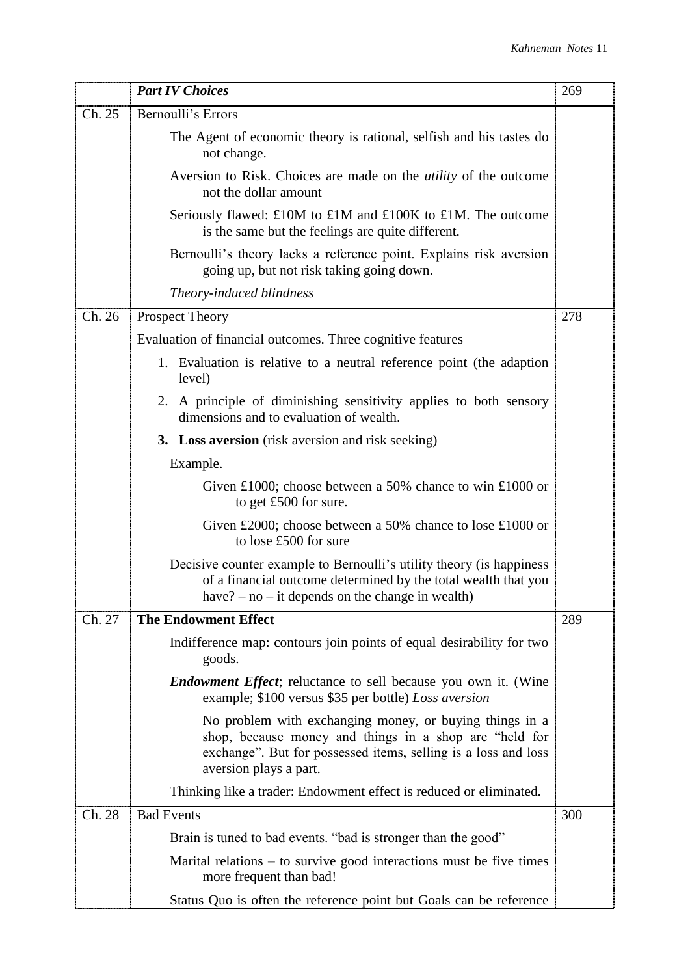|        | <b>Part IV Choices</b>                                                                                                                                                                                        | 269 |
|--------|---------------------------------------------------------------------------------------------------------------------------------------------------------------------------------------------------------------|-----|
| Ch. 25 | Bernoulli's Errors                                                                                                                                                                                            |     |
|        | The Agent of economic theory is rational, selfish and his tastes do<br>not change.                                                                                                                            |     |
|        | Aversion to Risk. Choices are made on the <i>utility</i> of the outcome<br>not the dollar amount                                                                                                              |     |
|        | Seriously flawed: £10M to £1M and £100K to £1M. The outcome<br>is the same but the feelings are quite different.                                                                                              |     |
|        | Bernoulli's theory lacks a reference point. Explains risk aversion<br>going up, but not risk taking going down.                                                                                               |     |
|        | Theory-induced blindness                                                                                                                                                                                      |     |
| Ch. 26 | <b>Prospect Theory</b>                                                                                                                                                                                        | 278 |
|        | Evaluation of financial outcomes. Three cognitive features                                                                                                                                                    |     |
|        | 1. Evaluation is relative to a neutral reference point (the adaption<br>level)                                                                                                                                |     |
|        | 2. A principle of diminishing sensitivity applies to both sensory<br>dimensions and to evaluation of wealth.                                                                                                  |     |
|        | <b>3.</b> Loss aversion (risk aversion and risk seeking)                                                                                                                                                      |     |
|        | Example.                                                                                                                                                                                                      |     |
|        | Given £1000; choose between a 50% chance to win £1000 or<br>to get £500 for sure.                                                                                                                             |     |
|        | Given £2000; choose between a 50% chance to lose £1000 or<br>to lose £500 for sure                                                                                                                            |     |
|        | Decisive counter example to Bernoulli's utility theory (is happiness<br>of a financial outcome determined by the total wealth that you<br>have? $-$ no $-$ it depends on the change in wealth)                |     |
| Ch. 27 | <b>The Endowment Effect</b>                                                                                                                                                                                   | 289 |
|        | Indifference map: contours join points of equal desirability for two<br>goods.                                                                                                                                |     |
|        | <i>Endowment Effect</i> ; reluctance to sell because you own it. (Wine<br>example; \$100 versus \$35 per bottle) Loss aversion                                                                                |     |
|        | No problem with exchanging money, or buying things in a<br>shop, because money and things in a shop are "held for<br>exchange". But for possessed items, selling is a loss and loss<br>aversion plays a part. |     |
|        | Thinking like a trader: Endowment effect is reduced or eliminated.                                                                                                                                            |     |
| Ch. 28 | <b>Bad Events</b>                                                                                                                                                                                             | 300 |
|        | Brain is tuned to bad events. "bad is stronger than the good"                                                                                                                                                 |     |
|        | Marital relations $-$ to survive good interactions must be five times<br>more frequent than bad!                                                                                                              |     |
|        | Status Quo is often the reference point but Goals can be reference                                                                                                                                            |     |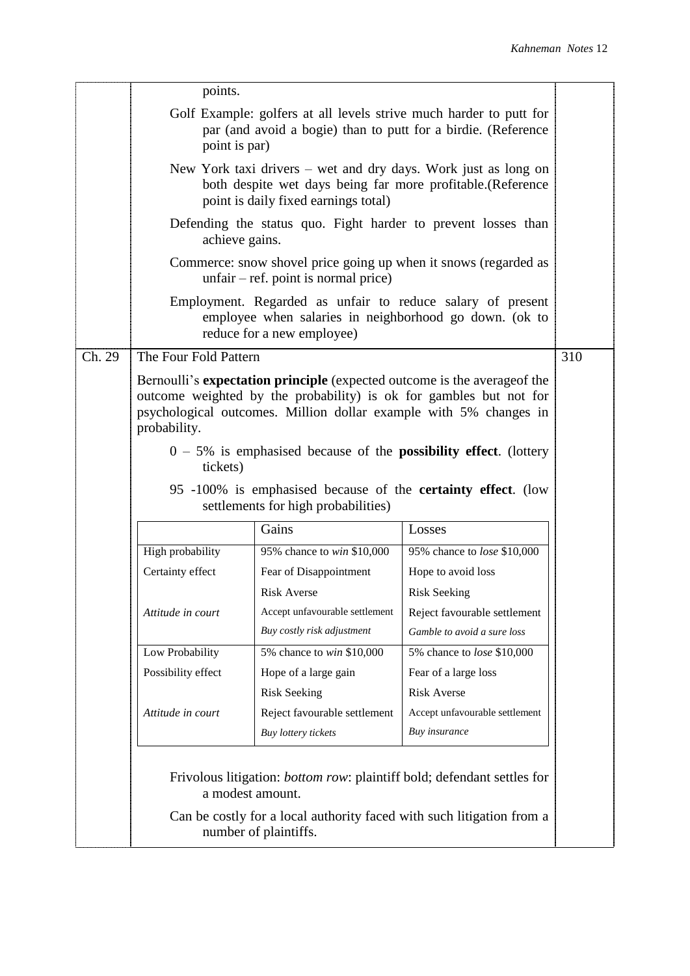|        | points.                                                                                                                                                                                                                                     |                                                                                                                                                    |                                   |     |  |  |
|--------|---------------------------------------------------------------------------------------------------------------------------------------------------------------------------------------------------------------------------------------------|----------------------------------------------------------------------------------------------------------------------------------------------------|-----------------------------------|-----|--|--|
|        | Golf Example: golfers at all levels strive much harder to putt for<br>par (and avoid a bogie) than to putt for a birdie. (Reference<br>point is par)                                                                                        |                                                                                                                                                    |                                   |     |  |  |
|        | New York taxi drivers – wet and dry days. Work just as long on<br>both despite wet days being far more profitable.(Reference<br>point is daily fixed earnings total)                                                                        |                                                                                                                                                    |                                   |     |  |  |
|        | Defending the status quo. Fight harder to prevent losses than<br>achieve gains.                                                                                                                                                             |                                                                                                                                                    |                                   |     |  |  |
|        | Commerce: snow shovel price going up when it snows (regarded as<br>$unfair - ref.$ point is normal price)                                                                                                                                   |                                                                                                                                                    |                                   |     |  |  |
|        |                                                                                                                                                                                                                                             | Employment. Regarded as unfair to reduce salary of present<br>employee when salaries in neighborhood go down. (ok to<br>reduce for a new employee) |                                   |     |  |  |
| Ch. 29 | The Four Fold Pattern                                                                                                                                                                                                                       |                                                                                                                                                    |                                   | 310 |  |  |
|        | Bernoulli's <b>expectation principle</b> (expected outcome is the average of the<br>outcome weighted by the probability) is ok for gambles but not for<br>psychological outcomes. Million dollar example with 5% changes in<br>probability. |                                                                                                                                                    |                                   |     |  |  |
|        | $0 - 5\%$ is emphasised because of the <b>possibility effect</b> . (lottery<br>tickets)                                                                                                                                                     |                                                                                                                                                    |                                   |     |  |  |
|        | 95 -100% is emphasised because of the <b>certainty effect</b> . (low<br>settlements for high probabilities)                                                                                                                                 |                                                                                                                                                    |                                   |     |  |  |
|        | Gains<br>Losses                                                                                                                                                                                                                             |                                                                                                                                                    |                                   |     |  |  |
|        | High probability                                                                                                                                                                                                                            | 95% chance to win \$10,000                                                                                                                         | 95% chance to lose \$10,000       |     |  |  |
|        | Certainty effect                                                                                                                                                                                                                            | Fear of Disappointment                                                                                                                             | Hope to avoid loss                |     |  |  |
|        |                                                                                                                                                                                                                                             | <b>Risk Averse</b>                                                                                                                                 | <b>Risk Seeking</b>               |     |  |  |
|        | Attitude in court                                                                                                                                                                                                                           | Accept unfavourable settlement                                                                                                                     | Reject favourable settlement      |     |  |  |
|        |                                                                                                                                                                                                                                             | Buy costly risk adjustment                                                                                                                         | Gamble to avoid a sure loss       |     |  |  |
|        | Low Probability                                                                                                                                                                                                                             | 5% chance to win \$10,000                                                                                                                          | 5% chance to <i>lose</i> \$10,000 |     |  |  |
|        | Possibility effect                                                                                                                                                                                                                          | Hope of a large gain                                                                                                                               | Fear of a large loss              |     |  |  |
|        |                                                                                                                                                                                                                                             | <b>Risk Seeking</b>                                                                                                                                | <b>Risk Averse</b>                |     |  |  |
|        | Attitude in court                                                                                                                                                                                                                           | Reject favourable settlement                                                                                                                       | Accept unfavourable settlement    |     |  |  |
|        |                                                                                                                                                                                                                                             | Buy lottery tickets                                                                                                                                | Buy insurance                     |     |  |  |
|        | Frivolous litigation: <i>bottom row</i> : plaintiff bold; defendant settles for<br>a modest amount.                                                                                                                                         |                                                                                                                                                    |                                   |     |  |  |
|        | Can be costly for a local authority faced with such litigation from a<br>number of plaintiffs.                                                                                                                                              |                                                                                                                                                    |                                   |     |  |  |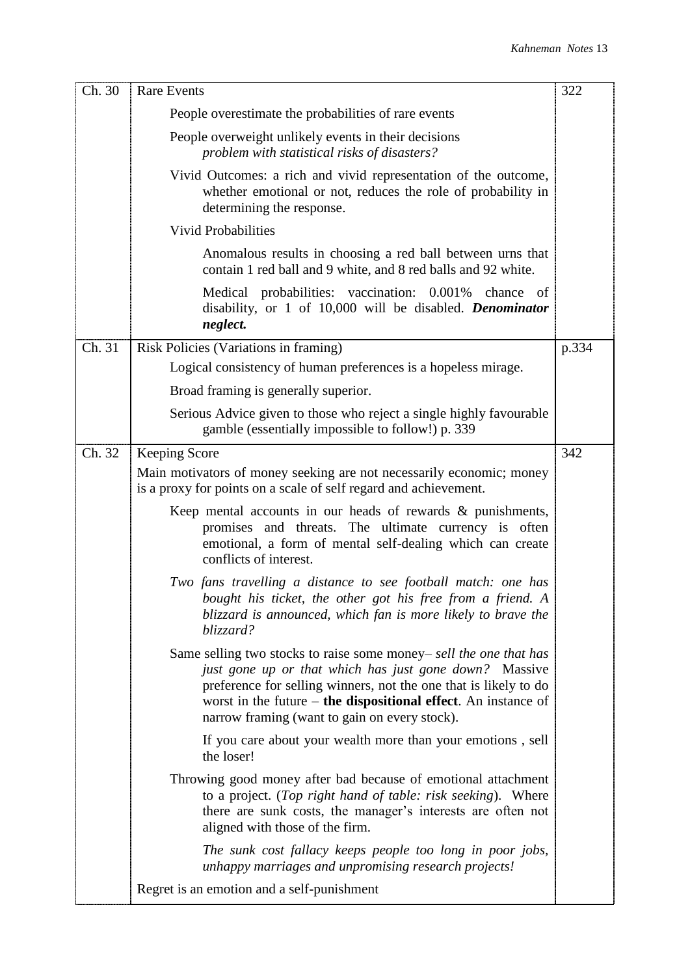| Ch. 30 | <b>Rare Events</b>                                                                                                                                                                                                                                                                                                    | 322   |
|--------|-----------------------------------------------------------------------------------------------------------------------------------------------------------------------------------------------------------------------------------------------------------------------------------------------------------------------|-------|
|        | People overestimate the probabilities of rare events                                                                                                                                                                                                                                                                  |       |
|        | People overweight unlikely events in their decisions<br>problem with statistical risks of disasters?                                                                                                                                                                                                                  |       |
|        | Vivid Outcomes: a rich and vivid representation of the outcome,<br>whether emotional or not, reduces the role of probability in<br>determining the response.                                                                                                                                                          |       |
|        | <b>Vivid Probabilities</b>                                                                                                                                                                                                                                                                                            |       |
|        | Anomalous results in choosing a red ball between urns that<br>contain 1 red ball and 9 white, and 8 red balls and 92 white.                                                                                                                                                                                           |       |
|        | Medical probabilities: vaccination: 0.001% chance of<br>disability, or 1 of 10,000 will be disabled. Denominator<br>neglect.                                                                                                                                                                                          |       |
| Ch. 31 | Risk Policies (Variations in framing)                                                                                                                                                                                                                                                                                 | p.334 |
|        | Logical consistency of human preferences is a hopeless mirage.                                                                                                                                                                                                                                                        |       |
|        | Broad framing is generally superior.                                                                                                                                                                                                                                                                                  |       |
|        | Serious Advice given to those who reject a single highly favourable<br>gamble (essentially impossible to follow!) p. 339                                                                                                                                                                                              |       |
| Ch. 32 | Keeping Score                                                                                                                                                                                                                                                                                                         | 342   |
|        | Main motivators of money seeking are not necessarily economic; money<br>is a proxy for points on a scale of self regard and achievement.                                                                                                                                                                              |       |
|        | Keep mental accounts in our heads of rewards $\&$ punishments,<br>promises and threats. The ultimate currency is often<br>emotional, a form of mental self-dealing which can create<br>conflicts of interest.                                                                                                         |       |
|        | Two fans travelling a distance to see football match: one has<br>bought his ticket, the other got his free from a friend. A<br>blizzard is announced, which fan is more likely to brave the<br>blizzard?                                                                                                              |       |
|        | Same selling two stocks to raise some money- sell the one that has<br>just gone up or that which has just gone down? Massive<br>preference for selling winners, not the one that is likely to do<br>worst in the future $-$ the dispositional effect. An instance of<br>narrow framing (want to gain on every stock). |       |
|        | If you care about your wealth more than your emotions, sell<br>the loser!                                                                                                                                                                                                                                             |       |
|        | Throwing good money after bad because of emotional attachment<br>to a project. (Top right hand of table: risk seeking). Where<br>there are sunk costs, the manager's interests are often not<br>aligned with those of the firm.                                                                                       |       |
|        | The sunk cost fallacy keeps people too long in poor jobs,<br>unhappy marriages and unpromising research projects!                                                                                                                                                                                                     |       |
|        | Regret is an emotion and a self-punishment                                                                                                                                                                                                                                                                            |       |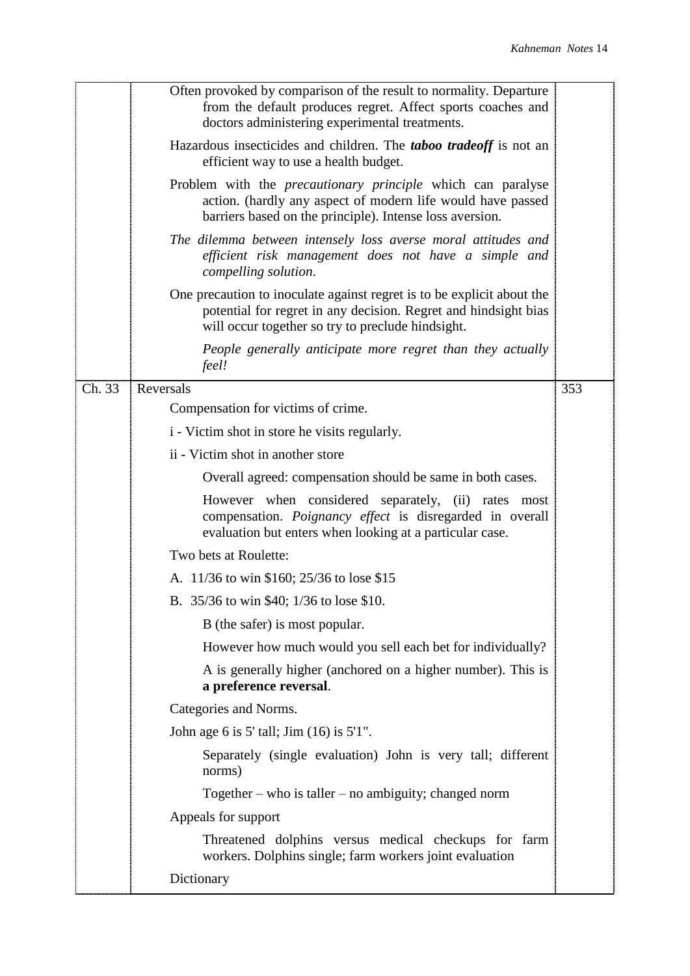|        | Often provoked by comparison of the result to normality. Departure<br>from the default produces regret. Affect sports coaches and<br>doctors administering experimental treatments.            |     |
|--------|------------------------------------------------------------------------------------------------------------------------------------------------------------------------------------------------|-----|
|        | Hazardous insecticides and children. The <b>taboo tradeoff</b> is not an<br>efficient way to use a health budget.                                                                              |     |
|        | Problem with the <i>precautionary principle</i> which can paralyse<br>action. (hardly any aspect of modern life would have passed<br>barriers based on the principle). Intense loss aversion.  |     |
|        | The dilemma between intensely loss averse moral attitudes and<br>efficient risk management does not have a simple and<br>compelling solution.                                                  |     |
|        | One precaution to inoculate against regret is to be explicit about the<br>potential for regret in any decision. Regret and hindsight bias<br>will occur together so try to preclude hindsight. |     |
|        | People generally anticipate more regret than they actually<br>feel!                                                                                                                            |     |
| Ch. 33 | Reversals                                                                                                                                                                                      | 353 |
|        | Compensation for victims of crime.                                                                                                                                                             |     |
|        | i - Victim shot in store he visits regularly.                                                                                                                                                  |     |
|        | ii - Victim shot in another store                                                                                                                                                              |     |
|        | Overall agreed: compensation should be same in both cases.                                                                                                                                     |     |
|        | However when considered separately, (ii) rates most<br>compensation. Poignancy effect is disregarded in overall<br>evaluation but enters when looking at a particular case.                    |     |
|        | Two bets at Roulette:                                                                                                                                                                          |     |
|        | A. 11/36 to win \$160; 25/36 to lose \$15                                                                                                                                                      |     |
|        | B. 35/36 to win \$40; 1/36 to lose \$10.                                                                                                                                                       |     |
|        | B (the safer) is most popular.                                                                                                                                                                 |     |
|        | However how much would you sell each bet for individually?                                                                                                                                     |     |
|        | A is generally higher (anchored on a higher number). This is<br>a preference reversal.                                                                                                         |     |
|        | Categories and Norms.                                                                                                                                                                          |     |
|        | John age 6 is 5' tall; Jim (16) is 5'1".                                                                                                                                                       |     |
|        | Separately (single evaluation) John is very tall; different<br>norms)                                                                                                                          |     |
|        | Together – who is taller – no ambiguity; changed norm                                                                                                                                          |     |
|        | Appeals for support                                                                                                                                                                            |     |
|        | Threatened dolphins versus medical checkups for farm<br>workers. Dolphins single; farm workers joint evaluation                                                                                |     |
|        | Dictionary                                                                                                                                                                                     |     |
|        |                                                                                                                                                                                                |     |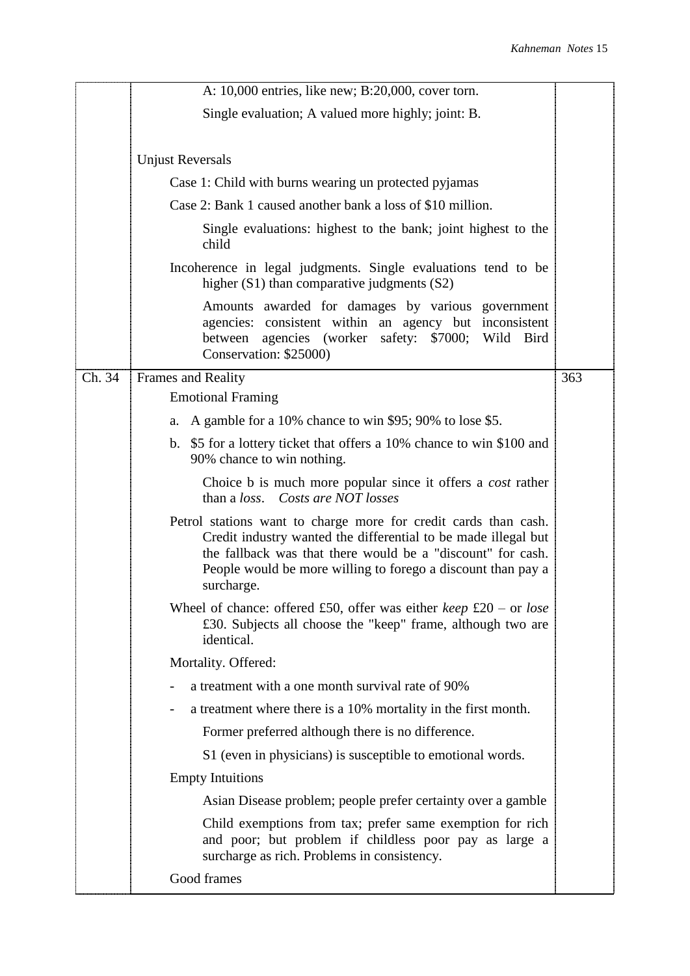|        | A: 10,000 entries, like new; B:20,000, cover torn.                                                                                                                                                                                                                             |     |
|--------|--------------------------------------------------------------------------------------------------------------------------------------------------------------------------------------------------------------------------------------------------------------------------------|-----|
|        | Single evaluation; A valued more highly; joint: B.                                                                                                                                                                                                                             |     |
|        |                                                                                                                                                                                                                                                                                |     |
|        | <b>Unjust Reversals</b>                                                                                                                                                                                                                                                        |     |
|        | Case 1: Child with burns wearing un protected pyjamas                                                                                                                                                                                                                          |     |
|        | Case 2: Bank 1 caused another bank a loss of \$10 million.                                                                                                                                                                                                                     |     |
|        | Single evaluations: highest to the bank; joint highest to the<br>child                                                                                                                                                                                                         |     |
|        | Incoherence in legal judgments. Single evaluations tend to be<br>higher $(S1)$ than comparative judgments $(S2)$                                                                                                                                                               |     |
|        | Amounts awarded for damages by various government<br>agencies: consistent within an agency but inconsistent<br>agencies (worker safety: \$7000; Wild Bird<br>between<br>Conservation: \$25000)                                                                                 |     |
| Ch. 34 | Frames and Reality                                                                                                                                                                                                                                                             | 363 |
|        | <b>Emotional Framing</b>                                                                                                                                                                                                                                                       |     |
|        | A gamble for a 10% chance to win \$95; 90% to lose \$5.<br>a.                                                                                                                                                                                                                  |     |
|        | b. \$5 for a lottery ticket that offers a 10% chance to win \$100 and<br>90% chance to win nothing.                                                                                                                                                                            |     |
|        | Choice b is much more popular since it offers a <i>cost</i> rather<br>than a loss. Costs are NOT losses                                                                                                                                                                        |     |
|        | Petrol stations want to charge more for credit cards than cash.<br>Credit industry wanted the differential to be made illegal but<br>the fallback was that there would be a "discount" for cash.<br>People would be more willing to forego a discount than pay a<br>surcharge. |     |
|        | Wheel of chance: offered £50, offer was either <i>keep</i> £20 – or <i>lose</i><br>£30. Subjects all choose the "keep" frame, although two are<br>identical.                                                                                                                   |     |
|        | Mortality. Offered:                                                                                                                                                                                                                                                            |     |
|        | a treatment with a one month survival rate of 90%                                                                                                                                                                                                                              |     |
|        | a treatment where there is a 10% mortality in the first month.                                                                                                                                                                                                                 |     |
|        | Former preferred although there is no difference.                                                                                                                                                                                                                              |     |
|        | S1 (even in physicians) is susceptible to emotional words.                                                                                                                                                                                                                     |     |
|        | <b>Empty Intuitions</b>                                                                                                                                                                                                                                                        |     |
|        | Asian Disease problem; people prefer certainty over a gamble                                                                                                                                                                                                                   |     |
|        | Child exemptions from tax; prefer same exemption for rich<br>and poor; but problem if childless poor pay as large a<br>surcharge as rich. Problems in consistency.                                                                                                             |     |
|        | Good frames                                                                                                                                                                                                                                                                    |     |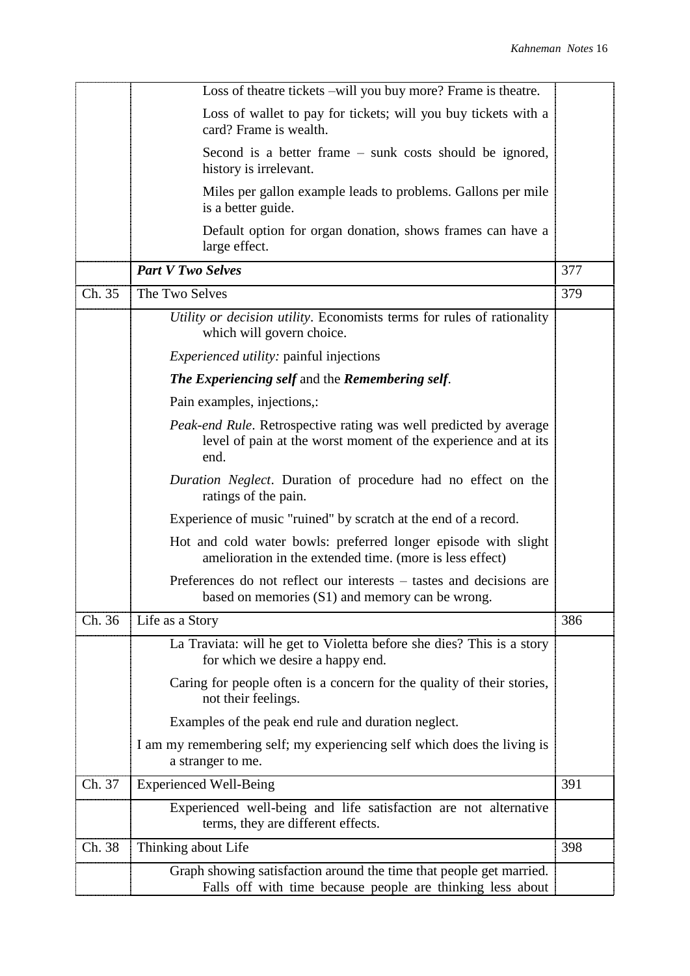|        | Loss of theatre tickets -will you buy more? Frame is theatre.                                                                               |     |
|--------|---------------------------------------------------------------------------------------------------------------------------------------------|-----|
|        | Loss of wallet to pay for tickets; will you buy tickets with a<br>card? Frame is wealth.                                                    |     |
|        | Second is a better frame – sunk costs should be ignored,<br>history is irrelevant.                                                          |     |
|        | Miles per gallon example leads to problems. Gallons per mile<br>is a better guide.                                                          |     |
|        | Default option for organ donation, shows frames can have a<br>large effect.                                                                 |     |
|        | <b>Part V Two Selves</b>                                                                                                                    | 377 |
| Ch. 35 | The Two Selves                                                                                                                              | 379 |
|        | Utility or decision utility. Economists terms for rules of rationality<br>which will govern choice.                                         |     |
|        | <i>Experienced utility:</i> painful injections                                                                                              |     |
|        | The Experiencing self and the Remembering self.                                                                                             |     |
|        | Pain examples, injections,:                                                                                                                 |     |
|        | Peak-end Rule. Retrospective rating was well predicted by average<br>level of pain at the worst moment of the experience and at its<br>end. |     |
|        | Duration Neglect. Duration of procedure had no effect on the<br>ratings of the pain.                                                        |     |
|        | Experience of music "ruined" by scratch at the end of a record.                                                                             |     |
|        | Hot and cold water bowls: preferred longer episode with slight<br>amelioration in the extended time. (more is less effect)                  |     |
|        | Preferences do not reflect our interests – tastes and decisions are<br>based on memories (S1) and memory can be wrong.                      |     |
| Ch. 36 | Life as a Story                                                                                                                             | 386 |
|        | La Traviata: will he get to Violetta before she dies? This is a story<br>for which we desire a happy end.                                   |     |
|        | Caring for people often is a concern for the quality of their stories,<br>not their feelings.                                               |     |
|        | Examples of the peak end rule and duration neglect.                                                                                         |     |
|        | I am my remembering self; my experiencing self which does the living is<br>a stranger to me.                                                |     |
| Ch. 37 | <b>Experienced Well-Being</b>                                                                                                               | 391 |
|        | Experienced well-being and life satisfaction are not alternative<br>terms, they are different effects.                                      |     |
| Ch. 38 | Thinking about Life                                                                                                                         | 398 |
|        | Graph showing satisfaction around the time that people get married.<br>Falls off with time because people are thinking less about           |     |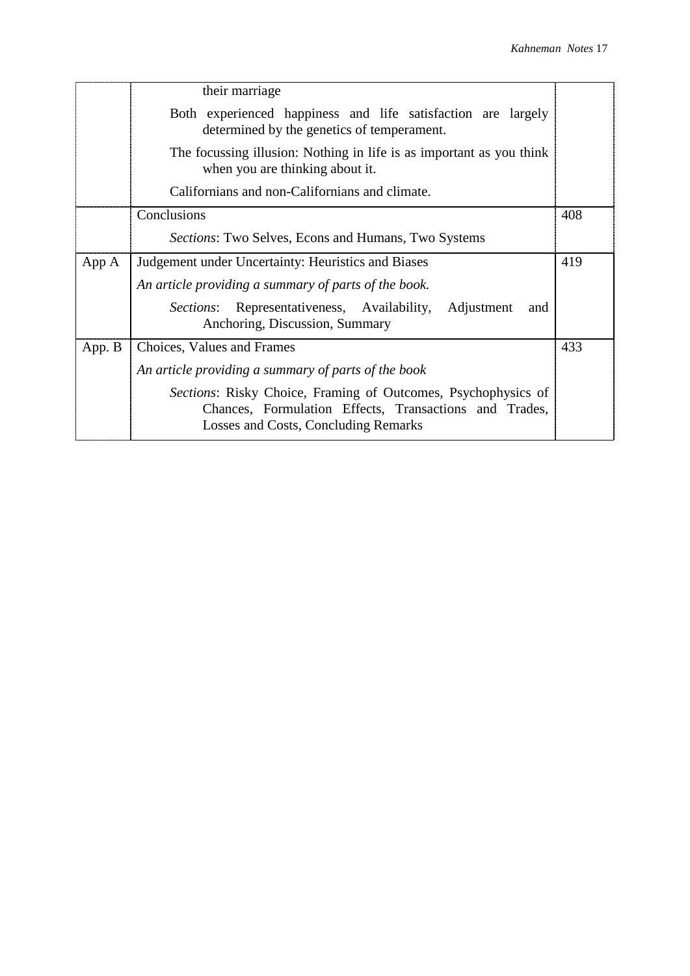|        | their marriage                                                                                                                                                  |     |
|--------|-----------------------------------------------------------------------------------------------------------------------------------------------------------------|-----|
|        | Both experienced happiness and life satisfaction are largely<br>determined by the genetics of temperament.                                                      |     |
|        | The focussing illusion: Nothing in life is as important as you think<br>when you are thinking about it.                                                         |     |
|        | Californians and non-Californians and climate.                                                                                                                  |     |
|        | Conclusions                                                                                                                                                     | 408 |
|        | <i>Sections:</i> Two Selves, Econs and Humans, Two Systems                                                                                                      |     |
| App A  | Judgement under Uncertainty: Heuristics and Biases                                                                                                              | 419 |
|        | An article providing a summary of parts of the book.                                                                                                            |     |
|        | Representativeness, Availability, Adjustment<br><i>Sections:</i><br>and<br>Anchoring, Discussion, Summary                                                       |     |
| App. B | Choices, Values and Frames                                                                                                                                      | 433 |
|        | An article providing a summary of parts of the book                                                                                                             |     |
|        | Sections: Risky Choice, Framing of Outcomes, Psychophysics of<br>Chances, Formulation Effects, Transactions and Trades,<br>Losses and Costs, Concluding Remarks |     |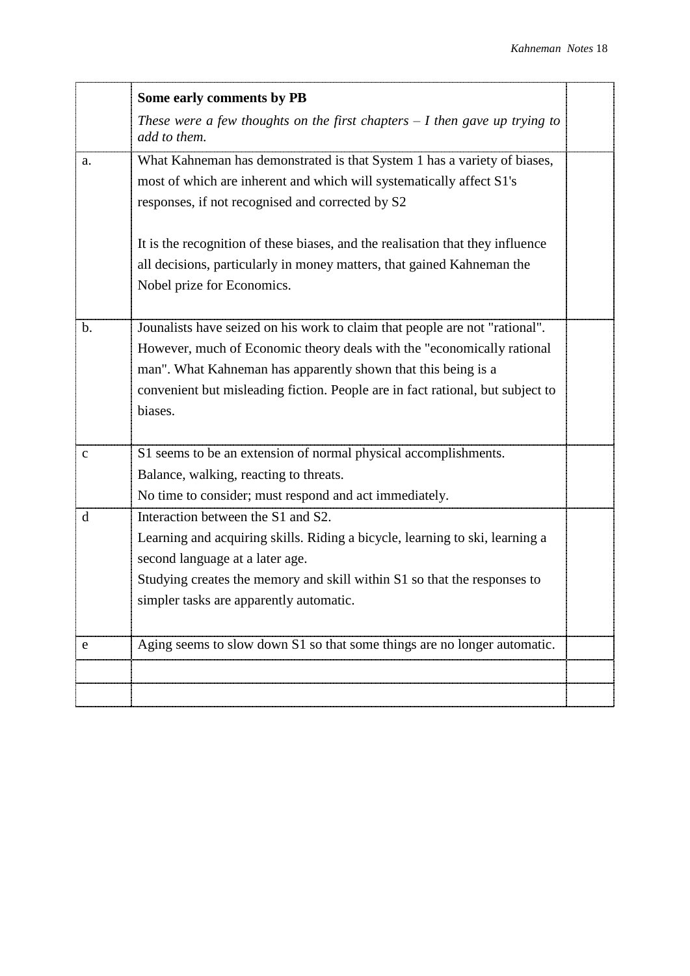|             | Some early comments by PB                                                                   |  |
|-------------|---------------------------------------------------------------------------------------------|--|
|             | These were a few thoughts on the first chapters $-1$ then gave up trying to<br>add to them. |  |
| a.          | What Kahneman has demonstrated is that System 1 has a variety of biases,                    |  |
|             | most of which are inherent and which will systematically affect S1's                        |  |
|             | responses, if not recognised and corrected by S2                                            |  |
|             |                                                                                             |  |
|             | It is the recognition of these biases, and the realisation that they influence              |  |
|             | all decisions, particularly in money matters, that gained Kahneman the                      |  |
|             | Nobel prize for Economics.                                                                  |  |
|             |                                                                                             |  |
| b.          | Jounalists have seized on his work to claim that people are not "rational".                 |  |
|             | However, much of Economic theory deals with the "economically rational                      |  |
|             | man". What Kahneman has apparently shown that this being is a                               |  |
|             | convenient but misleading fiction. People are in fact rational, but subject to              |  |
|             | biases.                                                                                     |  |
|             |                                                                                             |  |
| $\mathbf c$ | S1 seems to be an extension of normal physical accomplishments.                             |  |
|             | Balance, walking, reacting to threats.                                                      |  |
|             | No time to consider; must respond and act immediately.                                      |  |
| d           | Interaction between the S1 and S2.                                                          |  |
|             | Learning and acquiring skills. Riding a bicycle, learning to ski, learning a                |  |
|             | second language at a later age.                                                             |  |
|             | Studying creates the memory and skill within S1 so that the responses to                    |  |
|             | simpler tasks are apparently automatic.                                                     |  |
|             |                                                                                             |  |
| e           | Aging seems to slow down S1 so that some things are no longer automatic.                    |  |
|             |                                                                                             |  |
|             |                                                                                             |  |